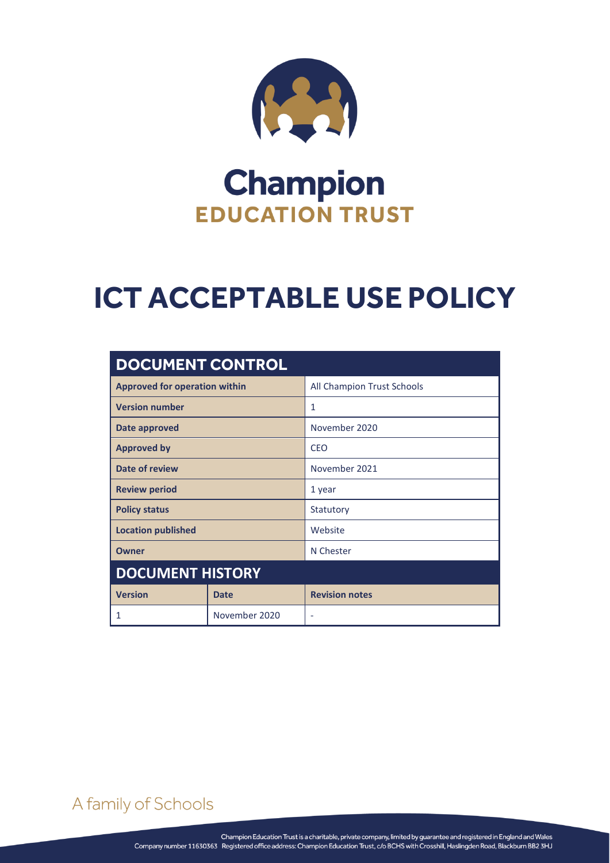

# **Champion EDUCATION TRUST**

# **ICT ACCEPTABLE USE POLICY**

| <b>DOCUMENT CONTROL</b>              |               |                            |  |  |
|--------------------------------------|---------------|----------------------------|--|--|
| <b>Approved for operation within</b> |               | All Champion Trust Schools |  |  |
| <b>Version number</b>                |               | 1                          |  |  |
| Date approved                        |               | November 2020              |  |  |
| <b>Approved by</b>                   |               | CFO                        |  |  |
| Date of review                       |               | November 2021              |  |  |
| <b>Review period</b>                 |               | 1 year                     |  |  |
| <b>Policy status</b>                 |               | Statutory                  |  |  |
| <b>Location published</b>            |               | Website                    |  |  |
| Owner                                |               | N Chester                  |  |  |
| <b>DOCUMENT HISTORY</b>              |               |                            |  |  |
| <b>Version</b>                       | <b>Date</b>   | <b>Revision notes</b>      |  |  |
| 1                                    | November 2020 |                            |  |  |

# **A family of Schools**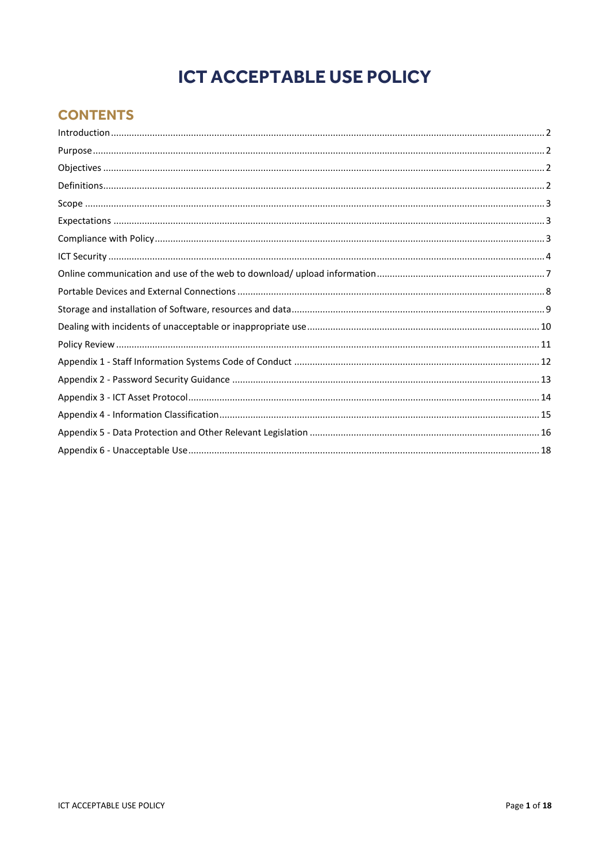# **ICT ACCEPTABLE USE POLICY**

# **CONTENTS**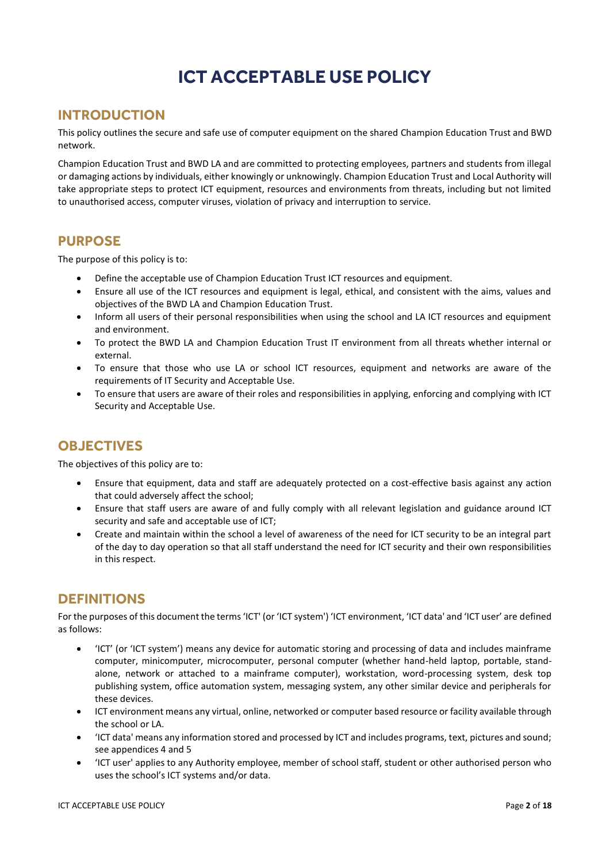# **ICT ACCEPTABLE USE POLICY**

### <span id="page-2-0"></span>**INTRODUCTION**

This policy outlines the secure and safe use of computer equipment on the shared Champion Education Trust and BWD network.

Champion Education Trust and BWD LA and are committed to protecting employees, partners and students from illegal or damaging actions by individuals, either knowingly or unknowingly. Champion Education Trust and Local Authority will take appropriate steps to protect ICT equipment, resources and environments from threats, including but not limited to unauthorised access, computer viruses, violation of privacy and interruption to service.

### <span id="page-2-1"></span>**PURPOSE**

The purpose of this policy is to:

- Define the acceptable use of Champion Education Trust ICT resources and equipment.
- Ensure all use of the ICT resources and equipment is legal, ethical, and consistent with the aims, values and objectives of the BWD LA and Champion Education Trust.
- Inform all users of their personal responsibilities when using the school and LA ICT resources and equipment and environment.
- To protect the BWD LA and Champion Education Trust IT environment from all threats whether internal or external.
- To ensure that those who use LA or school ICT resources, equipment and networks are aware of the requirements of IT Security and Acceptable Use.
- To ensure that users are aware of their roles and responsibilities in applying, enforcing and complying with ICT Security and Acceptable Use.

# <span id="page-2-2"></span>**OBJECTIVES**

The objectives of this policy are to:

- Ensure that equipment, data and staff are adequately protected on a cost-effective basis against any action that could adversely affect the school;
- Ensure that staff users are aware of and fully comply with all relevant legislation and guidance around ICT security and safe and acceptable use of ICT;
- Create and maintain within the school a level of awareness of the need for ICT security to be an integral part of the day to day operation so that all staff understand the need for ICT security and their own responsibilities in this respect.

# <span id="page-2-3"></span>**DEFINITIONS**

For the purposes of this document the terms 'ICT' (or 'ICT system') 'ICT environment, 'ICT data' and 'ICT user' are defined as follows:

- 'ICT' (or 'ICT system') means any device for automatic storing and processing of data and includes mainframe computer, minicomputer, microcomputer, personal computer (whether hand-held laptop, portable, standalone, network or attached to a mainframe computer), workstation, word-processing system, desk top publishing system, office automation system, messaging system, any other similar device and peripherals for these devices.
- ICT environment means any virtual, online, networked or computer based resource or facility available through the school or LA.
- 'ICT data' means any information stored and processed by ICT and includes programs, text, pictures and sound; see appendices 4 and 5
- 'ICT user' applies to any Authority employee, member of school staff, student or other authorised person who uses the school's ICT systems and/or data.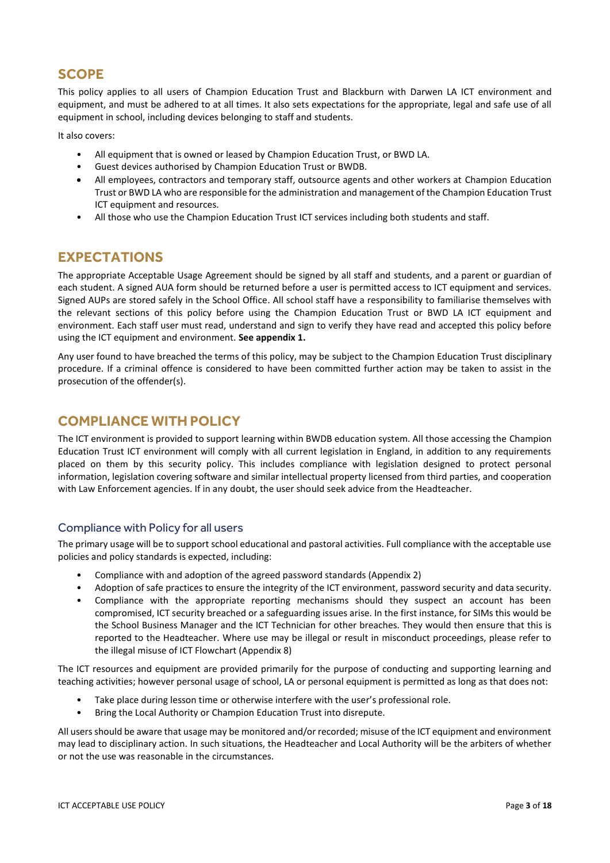# <span id="page-3-0"></span>**SCOPE**

This policy applies to all users of Champion Education Trust and Blackburn with Darwen LA ICT environment and equipment, and must be adhered to at all times. It also sets expectations for the appropriate, legal and safe use of all equipment in school, including devices belonging to staff and students.

It also covers:

- All equipment that is owned or leased by Champion Education Trust, or BWD LA.
- Guest devices authorised by Champion Education Trust or BWDB.
- All employees, contractors and temporary staff, outsource agents and other workers at Champion Education Trust or BWD LA who are responsible for the administration and management of the Champion Education Trust ICT equipment and resources.
- All those who use the Champion Education Trust ICT services including both students and staff.

### <span id="page-3-1"></span>**EXPECTATIONS**

The appropriate Acceptable Usage Agreement should be signed by all staff and students, and a parent or guardian of each student. A signed AUA form should be returned before a user is permitted access to ICT equipment and services. Signed AUPs are stored safely in the School Office. All school staff have a responsibility to familiarise themselves with the relevant sections of this policy before using the Champion Education Trust or BWD LA ICT equipment and environment. Each staff user must read, understand and sign to verify they have read and accepted this policy before using the ICT equipment and environment. **See appendix 1.**

Any user found to have breached the terms of this policy, may be subject to the Champion Education Trust disciplinary procedure. If a criminal offence is considered to have been committed further action may be taken to assist in the prosecution of the offender(s).

### <span id="page-3-2"></span>**COMPLIANCE WITH POLICY**

The ICT environment is provided to support learning within BWDB education system. All those accessing the Champion Education Trust ICT environment will comply with all current legislation in England, in addition to any requirements placed on them by this security policy. This includes compliance with legislation designed to protect personal information, legislation covering software and similar intellectual property licensed from third parties, and cooperation with Law Enforcement agencies. If in any doubt, the user should seek advice from the Headteacher.

#### Compliance with Policy for all users

The primary usage will be to support school educational and pastoral activities. Full compliance with the acceptable use policies and policy standards is expected, including:

- Compliance with and adoption of the agreed password standards (Appendix 2)
- Adoption of safe practices to ensure the integrity of the ICT environment, password security and data security.
- Compliance with the appropriate reporting mechanisms should they suspect an account has been compromised, ICT security breached or a safeguarding issues arise. In the first instance, for SIMs this would be the School Business Manager and the ICT Technician for other breaches. They would then ensure that this is reported to the Headteacher. Where use may be illegal or result in misconduct proceedings, please refer to the illegal misuse of ICT Flowchart (Appendix 8)

The ICT resources and equipment are provided primarily for the purpose of conducting and supporting learning and teaching activities; however personal usage of school, LA or personal equipment is permitted as long as that does not:

- Take place during lesson time or otherwise interfere with the user's professional role.
- Bring the Local Authority or Champion Education Trust into disrepute.

All users should be aware that usage may be monitored and/or recorded; misuse of the ICT equipment and environment may lead to disciplinary action. In such situations, the Headteacher and Local Authority will be the arbiters of whether or not the use was reasonable in the circumstances.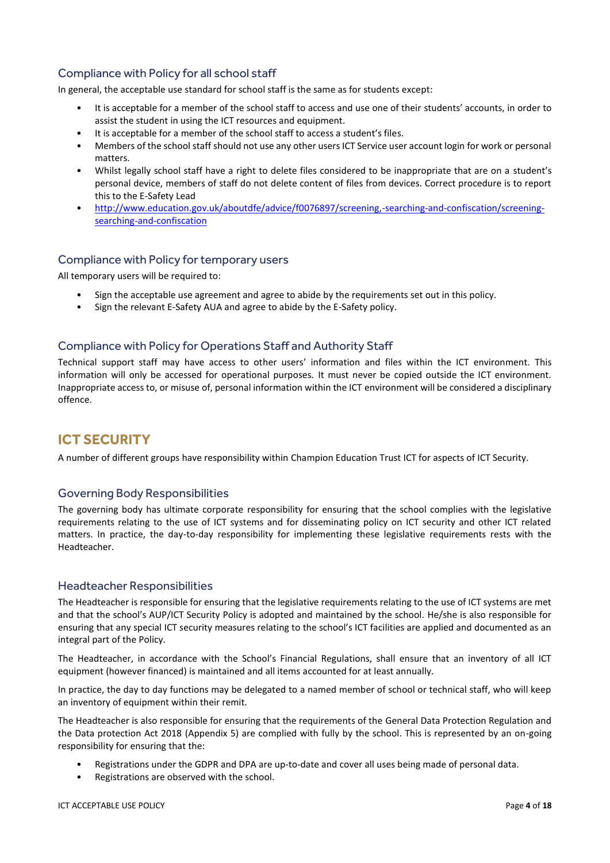#### Compliance with Policy for all school staff

In general, the acceptable use standard for school staff is the same as for students except:

- It is acceptable for a member of the school staff to access and use one of their students' accounts, in order to assist the student in using the ICT resources and equipment.
- It is acceptable for a member of the school staff to access a student's files.
- Members of the school staff should not use any other users ICT Service user account login for work or personal matters.
- Whilst legally school staff have a right to delete files considered to be inappropriate that are on a student's personal device, members of staff do not delete content of files from devices. Correct procedure is to report this to the E-Safety Lead
- [http://www.education.gov.uk/aboutdfe/advice/f0076897/screening,-searching-and-confiscation/screening](http://www.education.gov.uk/aboutdfe/advice/f0076897/screening,-searching-and-confiscation/screening-searching-and-confiscation)[searching-and-confiscation](http://www.education.gov.uk/aboutdfe/advice/f0076897/screening,-searching-and-confiscation/screening-searching-and-confiscation)

#### Compliance with Policy for temporary users

All temporary users will be required to:

- Sign the acceptable use agreement and agree to abide by the requirements set out in this policy.
- Sign the relevant E-Safety AUA and agree to abide by the E-Safety policy.

#### Compliance with Policy for Operations Staff and Authority Staff

Technical support staff may have access to other users' information and files within the ICT environment. This information will only be accessed for operational purposes. It must never be copied outside the ICT environment. Inappropriate access to, or misuse of, personal information within the ICT environment will be considered a disciplinary offence.

### <span id="page-4-0"></span>**ICT SECURITY**

A number of different groups have responsibility within Champion Education Trust ICT for aspects of ICT Security.

#### Governing Body Responsibilities

The governing body has ultimate corporate responsibility for ensuring that the school complies with the legislative requirements relating to the use of ICT systems and for disseminating policy on ICT security and other ICT related matters. In practice, the day-to-day responsibility for implementing these legislative requirements rests with the Headteacher.

#### Headteacher Responsibilities

The Headteacher is responsible for ensuring that the legislative requirements relating to the use of ICT systems are met and that the school's AUP/ICT Security Policy is adopted and maintained by the school. He/she is also responsible for ensuring that any special ICT security measures relating to the school's ICT facilities are applied and documented as an integral part of the Policy.

The Headteacher, in accordance with the School's Financial Regulations, shall ensure that an inventory of all ICT equipment (however financed) is maintained and all items accounted for at least annually.

In practice, the day to day functions may be delegated to a named member of school or technical staff, who will keep an inventory of equipment within their remit.

The Headteacher is also responsible for ensuring that the requirements of the General Data Protection Regulation and the Data protection Act 2018 (Appendix 5) are complied with fully by the school. This is represented by an on-going responsibility for ensuring that the:

- Registrations under the GDPR and DPA are up-to-date and cover all uses being made of personal data.
- Registrations are observed with the school.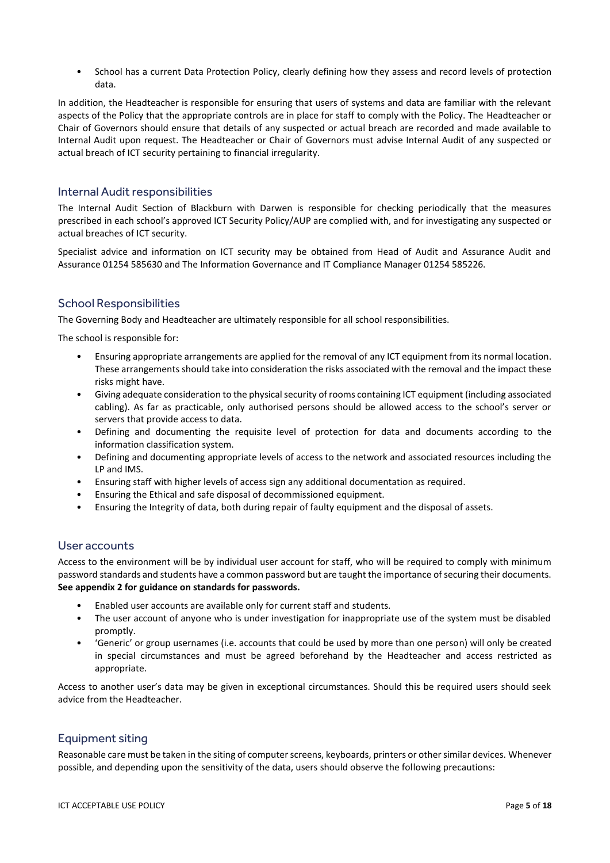• School has a current Data Protection Policy, clearly defining how they assess and record levels of protection data.

In addition, the Headteacher is responsible for ensuring that users of systems and data are familiar with the relevant aspects of the Policy that the appropriate controls are in place for staff to comply with the Policy. The Headteacher or Chair of Governors should ensure that details of any suspected or actual breach are recorded and made available to Internal Audit upon request. The Headteacher or Chair of Governors must advise Internal Audit of any suspected or actual breach of ICT security pertaining to financial irregularity.

#### Internal Audit responsibilities

The Internal Audit Section of Blackburn with Darwen is responsible for checking periodically that the measures prescribed in each school's approved ICT Security Policy/AUP are complied with, and for investigating any suspected or actual breaches of ICT security.

Specialist advice and information on ICT security may be obtained from Head of Audit and Assurance Audit and Assurance 01254 585630 and The Information Governance and IT Compliance Manager 01254 585226.

#### School Responsibilities

The Governing Body and Headteacher are ultimately responsible for all school responsibilities.

The school is responsible for:

- Ensuring appropriate arrangements are applied for the removal of any ICT equipment from its normal location. These arrangements should take into consideration the risks associated with the removal and the impact these risks might have.
- Giving adequate consideration to the physical security of rooms containing ICT equipment (including associated cabling). As far as practicable, only authorised persons should be allowed access to the school's server or servers that provide access to data.
- Defining and documenting the requisite level of protection for data and documents according to the information classification system.
- Defining and documenting appropriate levels of access to the network and associated resources including the LP and IMS.
- Ensuring staff with higher levels of access sign any additional documentation as required.
- Ensuring the Ethical and safe disposal of decommissioned equipment.
- Ensuring the Integrity of data, both during repair of faulty equipment and the disposal of assets.

#### User accounts

Access to the environment will be by individual user account for staff, who will be required to comply with minimum password standards and students have a common password but are taught the importance of securing their documents. **See appendix 2 for guidance on standards for passwords.**

- Enabled user accounts are available only for current staff and students.
- The user account of anyone who is under investigation for inappropriate use of the system must be disabled promptly.
- 'Generic' or group usernames (i.e. accounts that could be used by more than one person) will only be created in special circumstances and must be agreed beforehand by the Headteacher and access restricted as appropriate.

Access to another user's data may be given in exceptional circumstances. Should this be required users should seek advice from the Headteacher.

#### Equipment siting

Reasonable care must be taken in the siting of computer screens, keyboards, printers or other similar devices. Whenever possible, and depending upon the sensitivity of the data, users should observe the following precautions: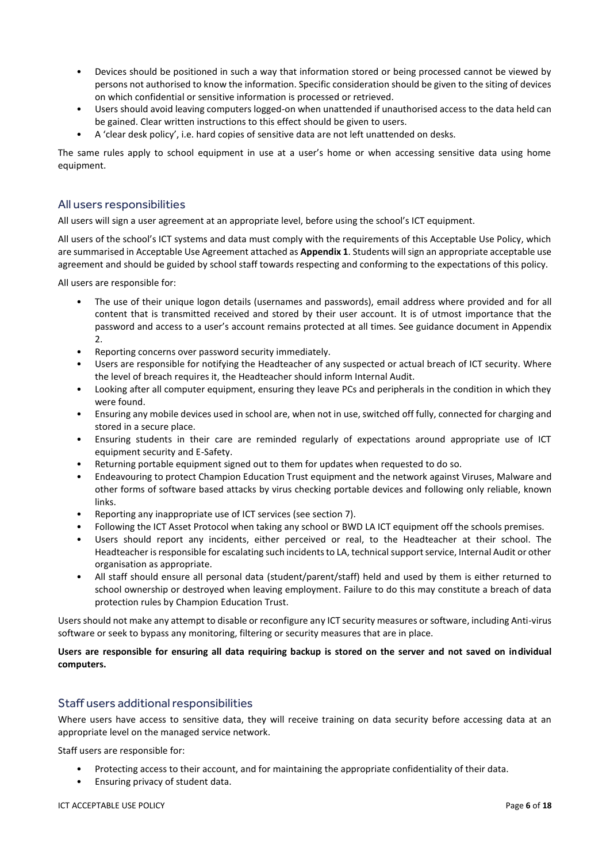- Devices should be positioned in such a way that information stored or being processed cannot be viewed by persons not authorised to know the information. Specific consideration should be given to the siting of devices on which confidential or sensitive information is processed or retrieved.
- Users should avoid leaving computers logged-on when unattended if unauthorised access to the data held can be gained. Clear written instructions to this effect should be given to users.
- A 'clear desk policy', i.e. hard copies of sensitive data are not left unattended on desks.

The same rules apply to school equipment in use at a user's home or when accessing sensitive data using home equipment.

#### All users responsibilities

All users will sign a user agreement at an appropriate level, before using the school's ICT equipment.

All users of the school's ICT systems and data must comply with the requirements of this Acceptable Use Policy, which are summarised in Acceptable Use Agreement attached as **Appendix 1**. Students will sign an appropriate acceptable use agreement and should be guided by school staff towards respecting and conforming to the expectations of this policy.

All users are responsible for:

- The use of their unique logon details (usernames and passwords), email address where provided and for all content that is transmitted received and stored by their user account. It is of utmost importance that the password and access to a user's account remains protected at all times. See guidance document in Appendix 2.
- Reporting concerns over password security immediately.
- Users are responsible for notifying the Headteacher of any suspected or actual breach of ICT security. Where the level of breach requires it, the Headteacher should inform Internal Audit.
- Looking after all computer equipment, ensuring they leave PCs and peripherals in the condition in which they were found.
- Ensuring any mobile devices used in school are, when not in use, switched off fully, connected for charging and stored in a secure place.
- Ensuring students in their care are reminded regularly of expectations around appropriate use of ICT equipment security and E-Safety.
- Returning portable equipment signed out to them for updates when requested to do so.
- Endeavouring to protect Champion Education Trust equipment and the network against Viruses, Malware and other forms of software based attacks by virus checking portable devices and following only reliable, known links.
- Reporting any inappropriate use of ICT services (see section 7).
- Following the ICT Asset Protocol when taking any school or BWD LA ICT equipment off the schools premises.
- Users should report any incidents, either perceived or real, to the Headteacher at their school. The Headteacher is responsible for escalating such incidents to LA, technical support service, Internal Audit or other organisation as appropriate.
- All staff should ensure all personal data (student/parent/staff) held and used by them is either returned to school ownership or destroyed when leaving employment. Failure to do this may constitute a breach of data protection rules by Champion Education Trust.

Users should not make any attempt to disable or reconfigure any ICT security measures or software, including Anti-virus software or seek to bypass any monitoring, filtering or security measures that are in place.

#### **Users are responsible for ensuring all data requiring backup is stored on the server and not saved on individual computers.**

#### Staff users additional responsibilities

Where users have access to sensitive data, they will receive training on data security before accessing data at an appropriate level on the managed service network.

Staff users are responsible for:

- Protecting access to their account, and for maintaining the appropriate confidentiality of their data.
- Ensuring privacy of student data.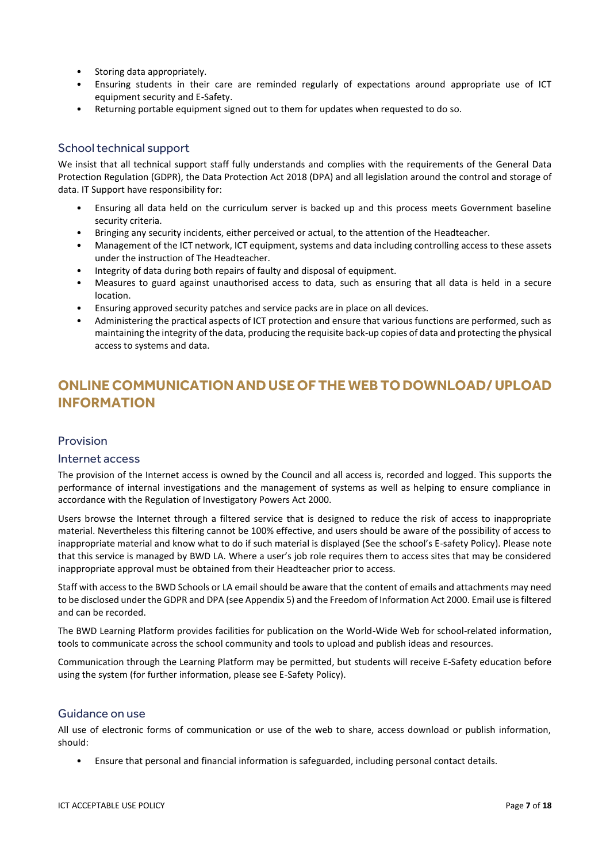- Storing data appropriately.
- Ensuring students in their care are reminded regularly of expectations around appropriate use of ICT equipment security and E-Safety.
- Returning portable equipment signed out to them for updates when requested to do so.

#### School technical support

We insist that all technical support staff fully understands and complies with the requirements of the General Data Protection Regulation (GDPR), the Data Protection Act 2018 (DPA) and all legislation around the control and storage of data. IT Support have responsibility for:

- Ensuring all data held on the curriculum server is backed up and this process meets Government baseline security criteria.
- Bringing any security incidents, either perceived or actual, to the attention of the Headteacher.
- Management of the ICT network, ICT equipment, systems and data including controlling access to these assets under the instruction of The Headteacher.
- Integrity of data during both repairs of faulty and disposal of equipment.
- Measures to guard against unauthorised access to data, such as ensuring that all data is held in a secure location.
- Ensuring approved security patches and service packs are in place on all devices.
- Administering the practical aspects of ICT protection and ensure that various functions are performed, such as maintaining the integrity of the data, producing the requisite back-up copies of data and protecting the physical access to systems and data.

# <span id="page-7-0"></span>**ONLINE COMMUNICATION AND USE OF THE WEB TO DOWNLOAD/ UPLOAD INFORMATION**

#### Provision

#### Internet access

The provision of the Internet access is owned by the Council and all access is, recorded and logged. This supports the performance of internal investigations and the management of systems as well as helping to ensure compliance in accordance with the Regulation of Investigatory Powers Act 2000.

Users browse the Internet through a filtered service that is designed to reduce the risk of access to inappropriate material. Nevertheless this filtering cannot be 100% effective, and users should be aware of the possibility of access to inappropriate material and know what to do if such material is displayed (See the school's E-safety Policy). Please note that this service is managed by BWD LA. Where a user's job role requires them to access sites that may be considered inappropriate approval must be obtained from their Headteacher prior to access.

Staff with access to the BWD Schools or LA email should be aware that the content of emails and attachments may need to be disclosed under the GDPR and DPA (see Appendix 5) and the Freedom of Information Act 2000. Email use is filtered and can be recorded.

The BWD Learning Platform provides facilities for publication on the World-Wide Web for school-related information, tools to communicate across the school community and tools to upload and publish ideas and resources.

Communication through the Learning Platform may be permitted, but students will receive E-Safety education before using the system (for further information, please see E-Safety Policy).

#### Guidance on use

All use of electronic forms of communication or use of the web to share, access download or publish information, should:

• Ensure that personal and financial information is safeguarded, including personal contact details.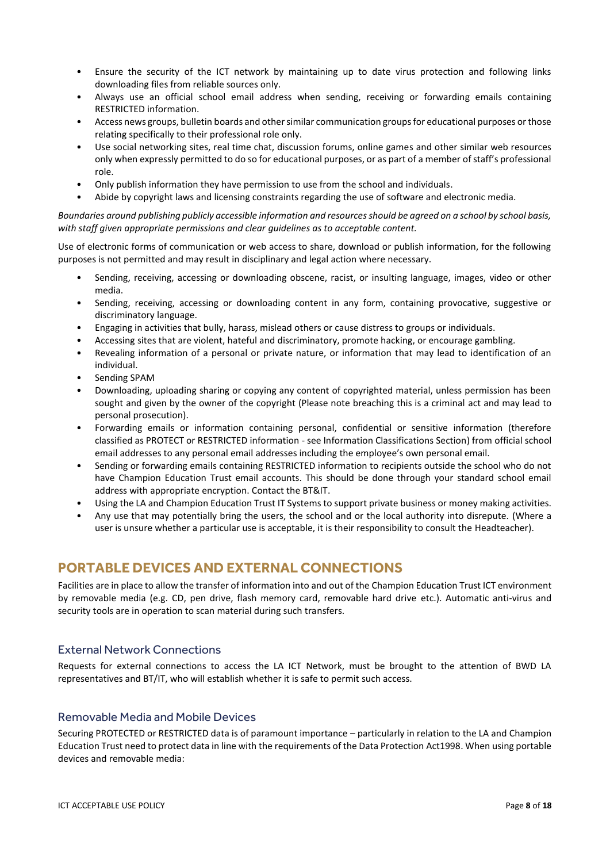- Ensure the security of the ICT network by maintaining up to date virus protection and following links downloading files from reliable sources only.
- Always use an official school email address when sending, receiving or forwarding emails containing RESTRICTED information.
- Access news groups, bulletin boards and other similar communication groups for educational purposes or those relating specifically to their professional role only.
- Use social networking sites, real time chat, discussion forums, online games and other similar web resources only when expressly permitted to do so for educational purposes, or as part of a member of staff's professional role.
- Only publish information they have permission to use from the school and individuals.
- Abide by copyright laws and licensing constraints regarding the use of software and electronic media.

*Boundaries around publishing publicly accessible information and resources should be agreed on a school by school basis, with staff given appropriate permissions and clear guidelines as to acceptable content.*

Use of electronic forms of communication or web access to share, download or publish information, for the following purposes is not permitted and may result in disciplinary and legal action where necessary.

- Sending, receiving, accessing or downloading obscene, racist, or insulting language, images, video or other media.
- Sending, receiving, accessing or downloading content in any form, containing provocative, suggestive or discriminatory language.
- Engaging in activities that bully, harass, mislead others or cause distress to groups or individuals.
- Accessing sites that are violent, hateful and discriminatory, promote hacking, or encourage gambling.
- Revealing information of a personal or private nature, or information that may lead to identification of an individual.
- Sending SPAM
- Downloading, uploading sharing or copying any content of copyrighted material, unless permission has been sought and given by the owner of the copyright (Please note breaching this is a criminal act and may lead to personal prosecution).
- Forwarding emails or information containing personal, confidential or sensitive information (therefore classified as PROTECT or RESTRICTED information - see Information Classifications Section) from official school email addresses to any personal email addresses including the employee's own personal email.
- Sending or forwarding emails containing RESTRICTED information to recipients outside the school who do not have Champion Education Trust email accounts. This should be done through your standard school email address with appropriate encryption. Contact the BT&IT.
- Using the LA and Champion Education Trust IT Systems to support private business or money making activities.
- Any use that may potentially bring the users, the school and or the local authority into disrepute. (Where a user is unsure whether a particular use is acceptable, it is their responsibility to consult the Headteacher).

# <span id="page-8-0"></span>**PORTABLE DEVICES AND EXTERNAL CONNECTIONS**

Facilities are in place to allow the transfer of information into and out of the Champion Education Trust ICT environment by removable media (e.g. CD, pen drive, flash memory card, removable hard drive etc.). Automatic anti-virus and security tools are in operation to scan material during such transfers.

#### External Network Connections

Requests for external connections to access the LA ICT Network, must be brought to the attention of BWD LA representatives and BT/IT, who will establish whether it is safe to permit such access.

#### Removable Media and Mobile Devices

Securing PROTECTED or RESTRICTED data is of paramount importance – particularly in relation to the LA and Champion Education Trust need to protect data in line with the requirements of the Data Protection Act1998. When using portable devices and removable media: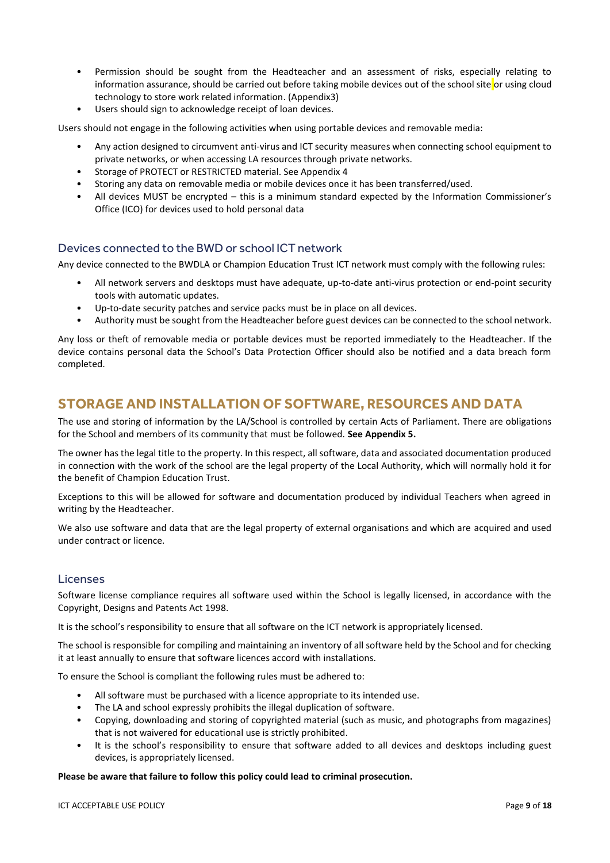- Permission should be sought from the Headteacher and an assessment of risks, especially relating to information assurance, should be carried out before taking mobile devices out of the school site or using cloud technology to store work related information. (Appendix3)
- Users should sign to acknowledge receipt of loan devices.

Users should not engage in the following activities when using portable devices and removable media:

- Any action designed to circumvent anti-virus and ICT security measures when connecting school equipment to private networks, or when accessing LA resources through private networks.
- Storage of PROTECT or RESTRICTED material. See Appendix 4
- Storing any data on removable media or mobile devices once it has been transferred/used.
- All devices MUST be encrypted this is a minimum standard expected by the Information Commissioner's Office (ICO) for devices used to hold personal data

#### Devices connected to the BWD or school ICT network

Any device connected to the BWDLA or Champion Education Trust ICT network must comply with the following rules:

- All network servers and desktops must have adequate, up-to-date anti-virus protection or end-point security tools with automatic updates.
- Up-to-date security patches and service packs must be in place on all devices.
- Authority must be sought from the Headteacher before guest devices can be connected to the school network.

Any loss or theft of removable media or portable devices must be reported immediately to the Headteacher. If the device contains personal data the School's Data Protection Officer should also be notified and a data breach form completed.

### <span id="page-9-0"></span>**STORAGE AND INSTALLATION OF SOFTWARE, RESOURCES AND DATA**

The use and storing of information by the LA/School is controlled by certain Acts of Parliament. There are obligations for the School and members of its community that must be followed. **See Appendix 5.**

The owner has the legal title to the property. In this respect, all software, data and associated documentation produced in connection with the work of the school are the legal property of the Local Authority, which will normally hold it for the benefit of Champion Education Trust.

Exceptions to this will be allowed for software and documentation produced by individual Teachers when agreed in writing by the Headteacher.

We also use software and data that are the legal property of external organisations and which are acquired and used under contract or licence.

#### Licenses

Software license compliance requires all software used within the School is legally licensed, in accordance with the Copyright, Designs and Patents Act 1998.

It is the school's responsibility to ensure that all software on the ICT network is appropriately licensed.

The school is responsible for compiling and maintaining an inventory of all software held by the School and for checking it at least annually to ensure that software licences accord with installations.

To ensure the School is compliant the following rules must be adhered to:

- All software must be purchased with a licence appropriate to its intended use.
- The LA and school expressly prohibits the illegal duplication of software.
- Copying, downloading and storing of copyrighted material (such as music, and photographs from magazines) that is not waivered for educational use is strictly prohibited.
- It is the school's responsibility to ensure that software added to all devices and desktops including guest devices, is appropriately licensed.

#### **Please be aware that failure to follow this policy could lead to criminal prosecution.**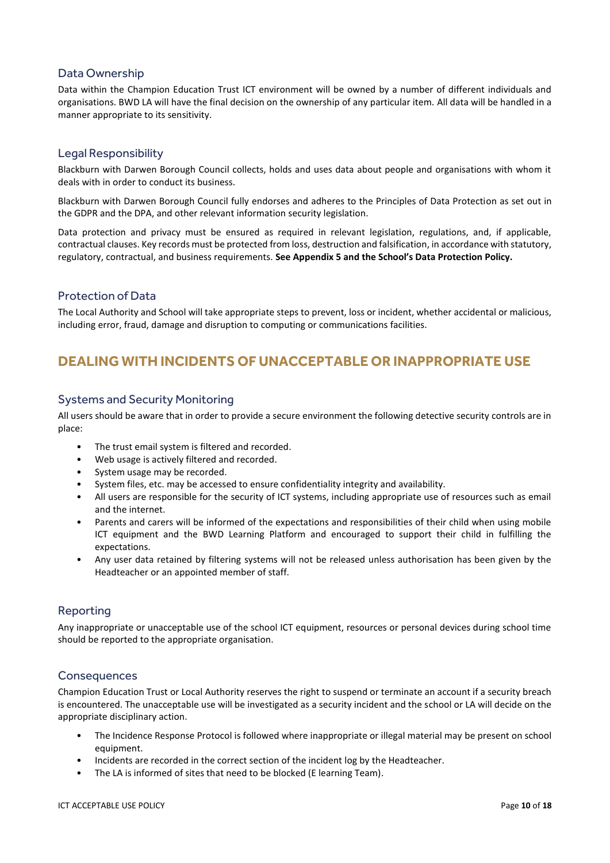#### Data Ownership

Data within the Champion Education Trust ICT environment will be owned by a number of different individuals and organisations. BWD LA will have the final decision on the ownership of any particular item. All data will be handled in a manner appropriate to its sensitivity.

#### Legal Responsibility

Blackburn with Darwen Borough Council collects, holds and uses data about people and organisations with whom it deals with in order to conduct its business.

Blackburn with Darwen Borough Council fully endorses and adheres to the Principles of Data Protection as set out in the GDPR and the DPA, and other relevant information security legislation.

Data protection and privacy must be ensured as required in relevant legislation, regulations, and, if applicable, contractual clauses. Key records must be protected from loss, destruction and falsification, in accordance with statutory, regulatory, contractual, and business requirements. **See Appendix 5 and the School's Data Protection Policy.**

#### Protection of Data

The Local Authority and School will take appropriate steps to prevent, loss or incident, whether accidental or malicious, including error, fraud, damage and disruption to computing or communications facilities.

# <span id="page-10-0"></span>**DEALING WITH INCIDENTS OF UNACCEPTABLE OR INAPPROPRIATE USE**

#### Systems and Security Monitoring

All users should be aware that in order to provide a secure environment the following detective security controls are in place:

- The trust email system is filtered and recorded.
- Web usage is actively filtered and recorded.
- System usage may be recorded.
- System files, etc. may be accessed to ensure confidentiality integrity and availability.
- All users are responsible for the security of ICT systems, including appropriate use of resources such as email and the internet.
- Parents and carers will be informed of the expectations and responsibilities of their child when using mobile ICT equipment and the BWD Learning Platform and encouraged to support their child in fulfilling the expectations.
- Any user data retained by filtering systems will not be released unless authorisation has been given by the Headteacher or an appointed member of staff.

#### Reporting

Any inappropriate or unacceptable use of the school ICT equipment, resources or personal devices during school time should be reported to the appropriate organisation.

#### **Consequences**

Champion Education Trust or Local Authority reserves the right to suspend or terminate an account if a security breach is encountered. The unacceptable use will be investigated as a security incident and the school or LA will decide on the appropriate disciplinary action.

- The Incidence Response Protocol is followed where inappropriate or illegal material may be present on school equipment.
- Incidents are recorded in the correct section of the incident log by the Headteacher.
- The LA is informed of sites that need to be blocked (E learning Team).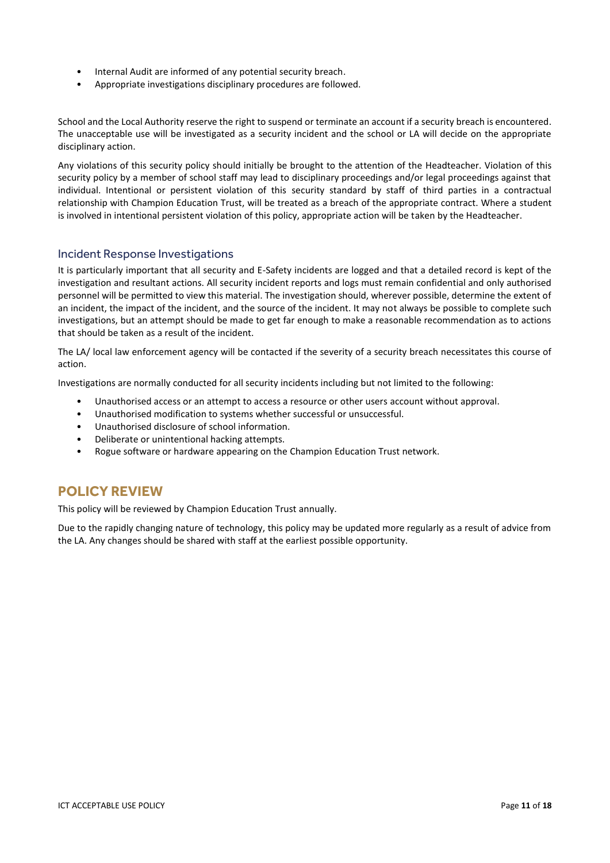- Internal Audit are informed of any potential security breach.
- Appropriate investigations disciplinary procedures are followed.

School and the Local Authority reserve the right to suspend or terminate an account if a security breach is encountered. The unacceptable use will be investigated as a security incident and the school or LA will decide on the appropriate disciplinary action.

Any violations of this security policy should initially be brought to the attention of the Headteacher. Violation of this security policy by a member of school staff may lead to disciplinary proceedings and/or legal proceedings against that individual. Intentional or persistent violation of this security standard by staff of third parties in a contractual relationship with Champion Education Trust, will be treated as a breach of the appropriate contract. Where a student is involved in intentional persistent violation of this policy, appropriate action will be taken by the Headteacher.

#### Incident Response Investigations

It is particularly important that all security and E-Safety incidents are logged and that a detailed record is kept of the investigation and resultant actions. All security incident reports and logs must remain confidential and only authorised personnel will be permitted to view this material. The investigation should, wherever possible, determine the extent of an incident, the impact of the incident, and the source of the incident. It may not always be possible to complete such investigations, but an attempt should be made to get far enough to make a reasonable recommendation as to actions that should be taken as a result of the incident.

The LA/ local law enforcement agency will be contacted if the severity of a security breach necessitates this course of action.

Investigations are normally conducted for all security incidents including but not limited to the following:

- Unauthorised access or an attempt to access a resource or other users account without approval.
- Unauthorised modification to systems whether successful or unsuccessful.
- Unauthorised disclosure of school information.
- Deliberate or unintentional hacking attempts.
- Rogue software or hardware appearing on the Champion Education Trust network.

# <span id="page-11-0"></span>**POLICY REVIEW**

This policy will be reviewed by Champion Education Trust annually.

Due to the rapidly changing nature of technology, this policy may be updated more regularly as a result of advice from the LA. Any changes should be shared with staff at the earliest possible opportunity.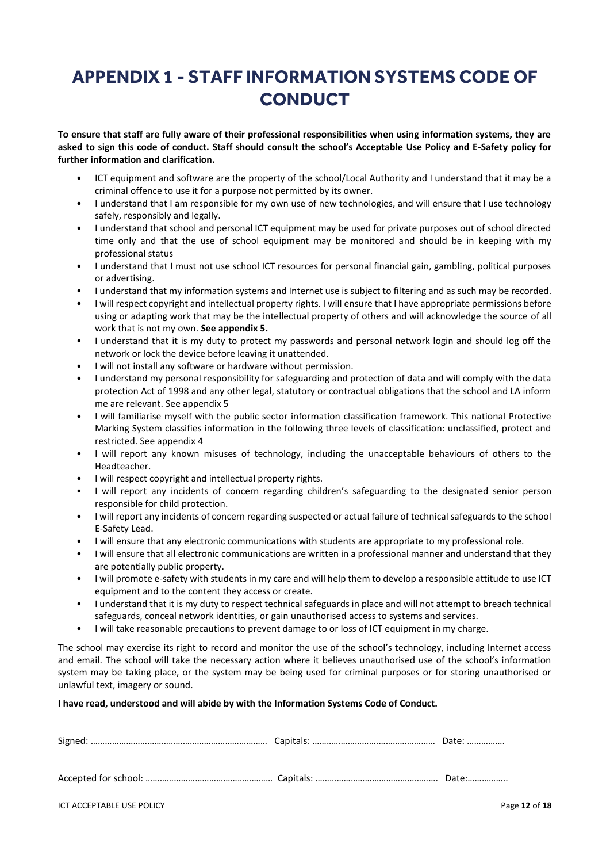# <span id="page-12-0"></span>**APPENDIX 1 - STAFF INFORMATION SYSTEMS CODE OF CONDUCT**

**To ensure that staff are fully aware of their professional responsibilities when using information systems, they are asked to sign this code of conduct. Staff should consult the school's Acceptable Use Policy and E-Safety policy for further information and clarification.**

- ICT equipment and software are the property of the school/Local Authority and I understand that it may be a criminal offence to use it for a purpose not permitted by its owner.
- I understand that I am responsible for my own use of new technologies, and will ensure that I use technology safely, responsibly and legally.
- I understand that school and personal ICT equipment may be used for private purposes out of school directed time only and that the use of school equipment may be monitored and should be in keeping with my professional status
- I understand that I must not use school ICT resources for personal financial gain, gambling, political purposes or advertising.
- I understand that my information systems and Internet use is subject to filtering and as such may be recorded.
- I will respect copyright and intellectual property rights. I will ensure that I have appropriate permissions before using or adapting work that may be the intellectual property of others and will acknowledge the source of all work that is not my own. **See appendix 5.**
- I understand that it is my duty to protect my passwords and personal network login and should log off the network or lock the device before leaving it unattended.
- I will not install any software or hardware without permission.
- I understand my personal responsibility for safeguarding and protection of data and will comply with the data protection Act of 1998 and any other legal, statutory or contractual obligations that the school and LA inform me are relevant. See appendix 5
- I will familiarise myself with the public sector information classification framework. This national Protective Marking System classifies information in the following three levels of classification: unclassified, protect and restricted. See appendix 4
- I will report any known misuses of technology, including the unacceptable behaviours of others to the Headteacher.
- I will respect copyright and intellectual property rights.
- I will report any incidents of concern regarding children's safeguarding to the designated senior person responsible for child protection.
- I will report any incidents of concern regarding suspected or actual failure of technical safeguards to the school E-Safety Lead.
- I will ensure that any electronic communications with students are appropriate to my professional role.
- I will ensure that all electronic communications are written in a professional manner and understand that they are potentially public property.
- I will promote e-safety with students in my care and will help them to develop a responsible attitude to use ICT equipment and to the content they access or create.
- I understand that it is my duty to respect technical safeguards in place and will not attempt to breach technical safeguards, conceal network identities, or gain unauthorised access to systems and services.
- I will take reasonable precautions to prevent damage to or loss of ICT equipment in my charge.

The school may exercise its right to record and monitor the use of the school's technology, including Internet access and email. The school will take the necessary action where it believes unauthorised use of the school's information system may be taking place, or the system may be being used for criminal purposes or for storing unauthorised or unlawful text, imagery or sound.

#### **I have read, understood and will abide by with the Information Systems Code of Conduct.**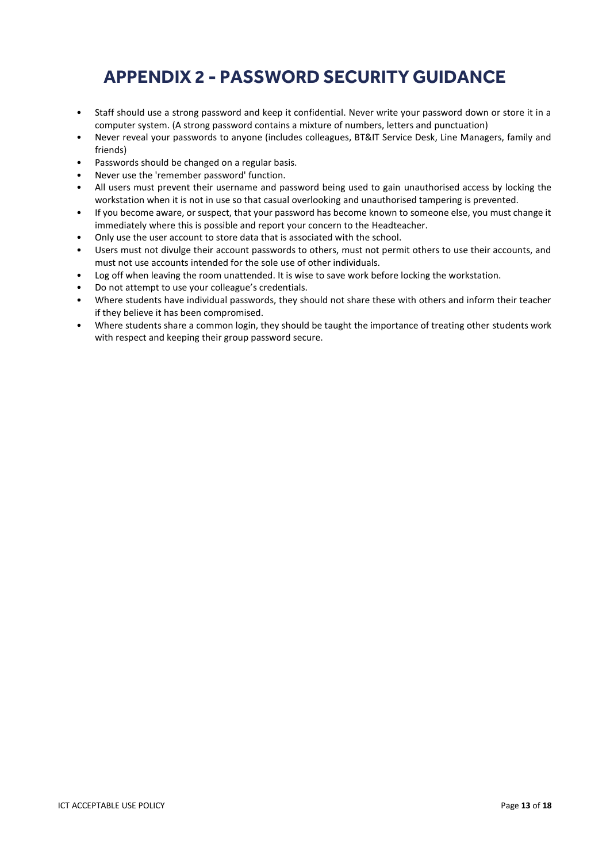# **APPENDIX 2 - PASSWORD SECURITY GUIDANCE**

- <span id="page-13-0"></span>• Staff should use a strong password and keep it confidential. Never write your password down or store it in a computer system. (A strong password contains a mixture of numbers, letters and punctuation)
- Never reveal your passwords to anyone (includes colleagues, BT&IT Service Desk, Line Managers, family and friends)
- Passwords should be changed on a regular basis.
- Never use the 'remember password' function.
- All users must prevent their username and password being used to gain unauthorised access by locking the workstation when it is not in use so that casual overlooking and unauthorised tampering is prevented.
- If you become aware, or suspect, that your password has become known to someone else, you must change it immediately where this is possible and report your concern to the Headteacher.
- Only use the user account to store data that is associated with the school.
- Users must not divulge their account passwords to others, must not permit others to use their accounts, and must not use accounts intended for the sole use of other individuals.
- Log off when leaving the room unattended. It is wise to save work before locking the workstation.
- Do not attempt to use your colleague's credentials.
- Where students have individual passwords, they should not share these with others and inform their teacher if they believe it has been compromised.
- Where students share a common login, they should be taught the importance of treating other students work with respect and keeping their group password secure.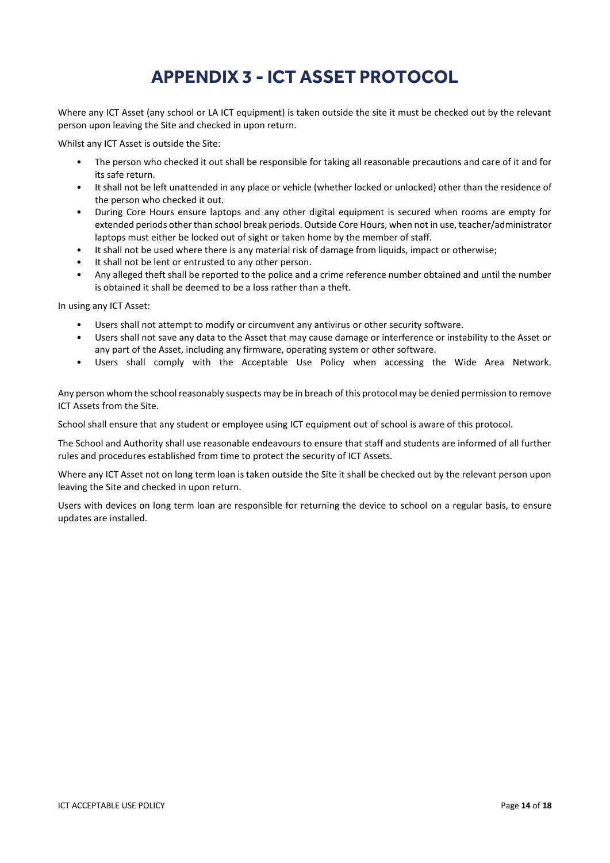# **APPENDIX 3 - ICT ASSET PROTOCOL**

<span id="page-14-0"></span>Where any ICT Asset (any school or LA ICT equipment) is taken outside the site it must be checked out by the relevant person upon leaving the Site and checked in upon return.

Whilst any ICT Asset is outside the Site:

- The person who checked it out shall be responsible for taking all reasonable precautions and care of it and for its safe return.
- It shall not be left unattended in any place or vehicle (whether locked or unlocked) other than the residence of the person who checked it out.
- During Core Hours ensure laptops and any other digital equipment is secured when rooms are empty for extended periods other than school break periods. Outside Core Hours, when not in use, teacher/administrator laptops must either be locked out of sight or taken home by the member of staff.
- It shall not be used where there is any material risk of damage from liquids, impact or otherwise;
- It shall not be lent or entrusted to any other person.
- Any alleged theft shall be reported to the police and a crime reference number obtained and until the number is obtained it shall be deemed to be a loss rather than a theft.

In using any ICT Asset:

- Users shall not attempt to modify or circumvent any antivirus or other security software.
- Users shall not save any data to the Asset that may cause damage or interference or instability to the Asset or any part of the Asset, including any firmware, operating system or other software.
- Users shall comply with the Acceptable Use Policy when accessing the Wide Area Network.

Any person whom the school reasonably suspects may be in breach of this protocol may be denied permission to remove ICT Assets from the Site.

School shall ensure that any student or employee using ICT equipment out of school is aware of this protocol.

The School and Authority shall use reasonable endeavours to ensure that staff and students are informed of all further rules and procedures established from time to protect the security of ICT Assets.

Where any ICT Asset not on long term loan is taken outside the Site it shall be checked out by the relevant person upon leaving the Site and checked in upon return.

Users with devices on long term loan are responsible for returning the device to school on a regular basis, to ensure updates are installed.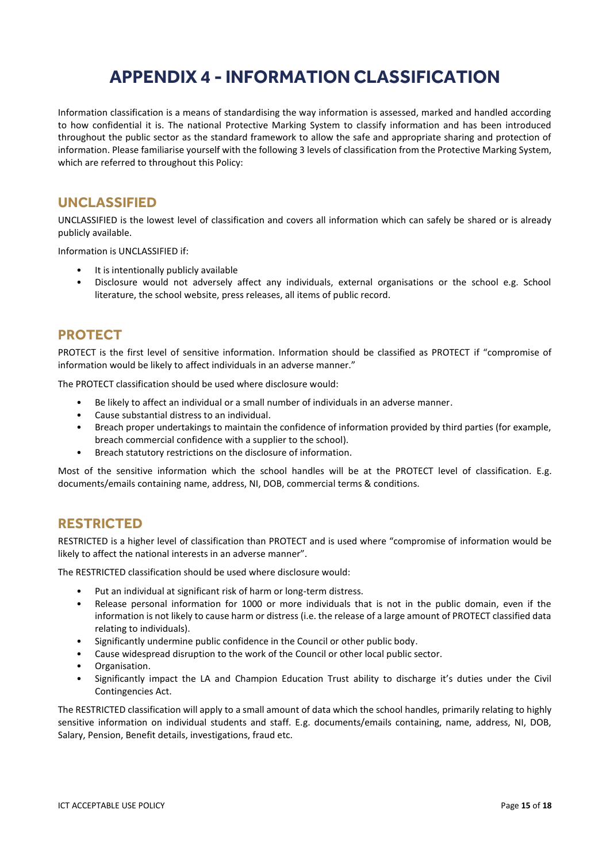# **APPENDIX 4 - INFORMATION CLASSIFICATION**

<span id="page-15-0"></span>Information classification is a means of standardising the way information is assessed, marked and handled according to how confidential it is. The national Protective Marking System to classify information and has been introduced throughout the public sector as the standard framework to allow the safe and appropriate sharing and protection of information. Please familiarise yourself with the following 3 levels of classification from the Protective Marking System, which are referred to throughout this Policy:

# **UNCLASSIFIED**

UNCLASSIFIED is the lowest level of classification and covers all information which can safely be shared or is already publicly available.

Information is UNCLASSIFIED if:

- It is intentionally publicly available
- Disclosure would not adversely affect any individuals, external organisations or the school e.g. School literature, the school website, press releases, all items of public record.

### **PROTECT**

PROTECT is the first level of sensitive information. Information should be classified as PROTECT if "compromise of information would be likely to affect individuals in an adverse manner."

The PROTECT classification should be used where disclosure would:

- Be likely to affect an individual or a small number of individuals in an adverse manner.
- Cause substantial distress to an individual.
- Breach proper undertakings to maintain the confidence of information provided by third parties (for example, breach commercial confidence with a supplier to the school).
- Breach statutory restrictions on the disclosure of information.

Most of the sensitive information which the school handles will be at the PROTECT level of classification. E.g. documents/emails containing name, address, NI, DOB, commercial terms & conditions.

### **RESTRICTED**

RESTRICTED is a higher level of classification than PROTECT and is used where "compromise of information would be likely to affect the national interests in an adverse manner".

The RESTRICTED classification should be used where disclosure would:

- Put an individual at significant risk of harm or long-term distress.
- Release personal information for 1000 or more individuals that is not in the public domain, even if the information is not likely to cause harm or distress (i.e. the release of a large amount of PROTECT classified data relating to individuals).
- Significantly undermine public confidence in the Council or other public body.
- Cause widespread disruption to the work of the Council or other local public sector.
- Organisation.
- Significantly impact the LA and Champion Education Trust ability to discharge it's duties under the Civil Contingencies Act.

The RESTRICTED classification will apply to a small amount of data which the school handles, primarily relating to highly sensitive information on individual students and staff. E.g. documents/emails containing, name, address, NI, DOB, Salary, Pension, Benefit details, investigations, fraud etc.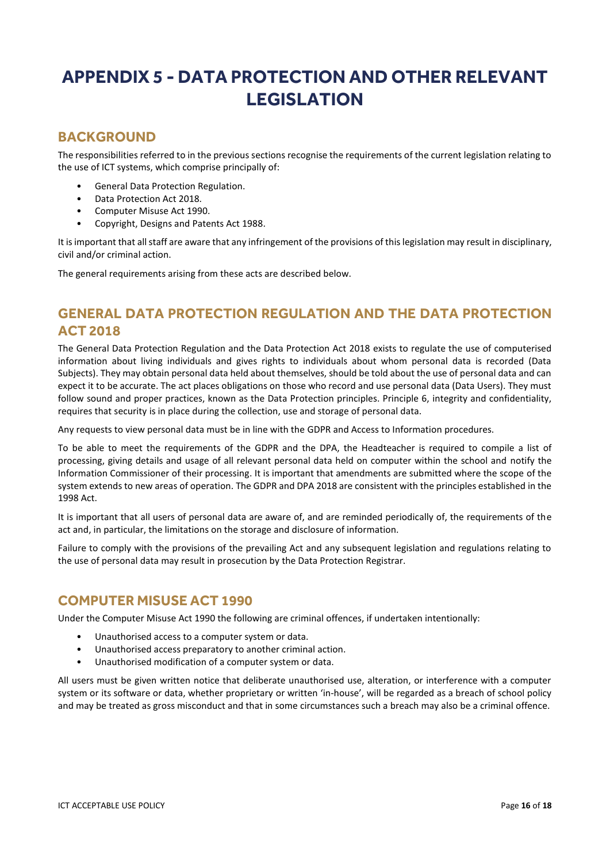# <span id="page-16-0"></span>**APPENDIX 5 - DATA PROTECTION AND OTHER RELEVANT LEGISLATION**

## **BACKGROUND**

The responsibilities referred to in the previous sections recognise the requirements of the current legislation relating to the use of ICT systems, which comprise principally of:

- General Data Protection Regulation.
- Data Protection Act 2018.
- Computer Misuse Act 1990.
- Copyright, Designs and Patents Act 1988.

It is important that all staff are aware that any infringement of the provisions of this legislation may result in disciplinary, civil and/or criminal action.

The general requirements arising from these acts are described below.

# **GENERAL DATA PROTECTION REGULATION AND THE DATA PROTECTION ACT 2018**

The General Data Protection Regulation and the Data Protection Act 2018 exists to regulate the use of computerised information about living individuals and gives rights to individuals about whom personal data is recorded (Data Subjects). They may obtain personal data held about themselves, should be told about the use of personal data and can expect it to be accurate. The act places obligations on those who record and use personal data (Data Users). They must follow sound and proper practices, known as the Data Protection principles. Principle 6, integrity and confidentiality, requires that security is in place during the collection, use and storage of personal data.

Any requests to view personal data must be in line with the GDPR and Access to Information procedures.

To be able to meet the requirements of the GDPR and the DPA, the Headteacher is required to compile a list of processing, giving details and usage of all relevant personal data held on computer within the school and notify the Information Commissioner of their processing. It is important that amendments are submitted where the scope of the system extends to new areas of operation. The GDPR and DPA 2018 are consistent with the principles established in the 1998 Act.

It is important that all users of personal data are aware of, and are reminded periodically of, the requirements of the act and, in particular, the limitations on the storage and disclosure of information.

Failure to comply with the provisions of the prevailing Act and any subsequent legislation and regulations relating to the use of personal data may result in prosecution by the Data Protection Registrar.

### **COMPUTER MISUSE ACT 1990**

Under the Computer Misuse Act 1990 the following are criminal offences, if undertaken intentionally:

- Unauthorised access to a computer system or data.
- Unauthorised access preparatory to another criminal action.
- Unauthorised modification of a computer system or data.

All users must be given written notice that deliberate unauthorised use, alteration, or interference with a computer system or its software or data, whether proprietary or written 'in-house', will be regarded as a breach of school policy and may be treated as gross misconduct and that in some circumstances such a breach may also be a criminal offence.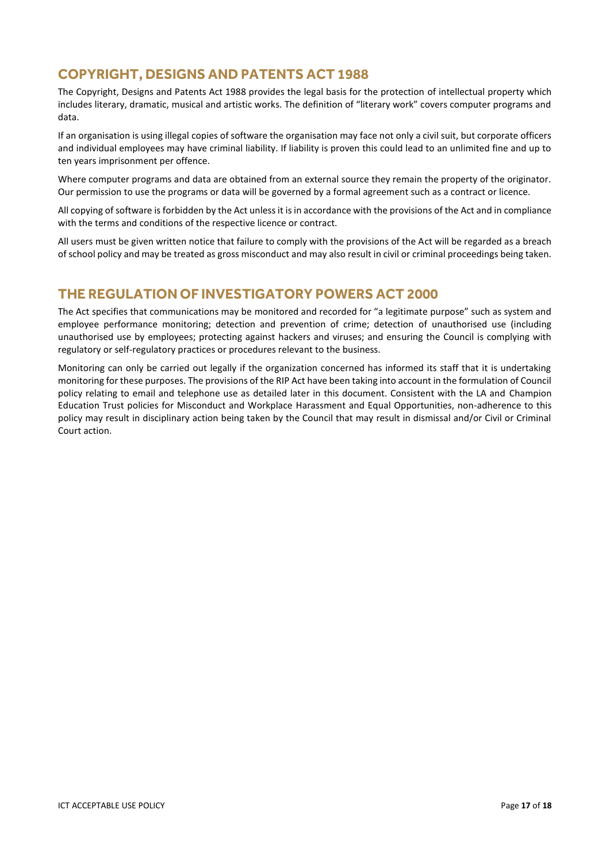# **COPYRIGHT, DESIGNS AND PATENTS ACT 1988**

The Copyright, Designs and Patents Act 1988 provides the legal basis for the protection of intellectual property which includes literary, dramatic, musical and artistic works. The definition of "literary work" covers computer programs and data.

If an organisation is using illegal copies of software the organisation may face not only a civil suit, but corporate officers and individual employees may have criminal liability. If liability is proven this could lead to an unlimited fine and up to ten years imprisonment per offence.

Where computer programs and data are obtained from an external source they remain the property of the originator. Our permission to use the programs or data will be governed by a formal agreement such as a contract or licence.

All copying of software is forbidden by the Act unless it is in accordance with the provisions of the Act and in compliance with the terms and conditions of the respective licence or contract.

All users must be given written notice that failure to comply with the provisions of the Act will be regarded as a breach of school policy and may be treated as gross misconduct and may also result in civil or criminal proceedings being taken.

# **THE REGULATION OF INVESTIGATORY POWERS ACT 2000**

The Act specifies that communications may be monitored and recorded for "a legitimate purpose" such as system and employee performance monitoring; detection and prevention of crime; detection of unauthorised use (including unauthorised use by employees; protecting against hackers and viruses; and ensuring the Council is complying with regulatory or self-regulatory practices or procedures relevant to the business.

Monitoring can only be carried out legally if the organization concerned has informed its staff that it is undertaking monitoring for these purposes. The provisions of the RIP Act have been taking into account in the formulation of Council policy relating to email and telephone use as detailed later in this document. Consistent with the LA and Champion Education Trust policies for Misconduct and Workplace Harassment and Equal Opportunities, non-adherence to this policy may result in disciplinary action being taken by the Council that may result in dismissal and/or Civil or Criminal Court action.